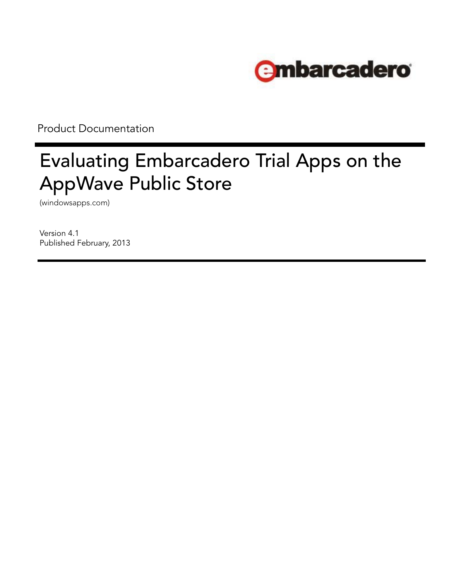

Product Documentation

# Evaluating Embarcadero Trial Apps on the AppWave Public Store

(windowsapps.com)

Version 4.1 Published February, 2013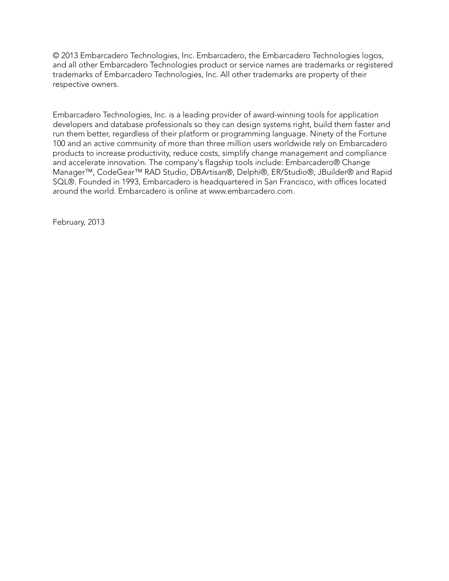© 2013 Embarcadero Technologies, Inc. Embarcadero, the Embarcadero Technologies logos, and all other Embarcadero Technologies product or service names are trademarks or registered trademarks of Embarcadero Technologies, Inc. All other trademarks are property of their respective owners.

Embarcadero Technologies, Inc. is a leading provider of award-winning tools for application developers and database professionals so they can design systems right, build them faster and run them better, regardless of their platform or programming language. Ninety of the Fortune 100 and an active community of more than three million users worldwide rely on Embarcadero products to increase productivity, reduce costs, simplify change management and compliance and accelerate innovation. The company's flagship tools include: Embarcadero® Change Manager™, CodeGear™ RAD Studio, DBArtisan®, Delphi®, ER/Studio®, JBuilder® and Rapid SQL®. Founded in 1993, Embarcadero is headquartered in San Francisco, with offices located around the world. Embarcadero is online at www.embarcadero.com.

February, 2013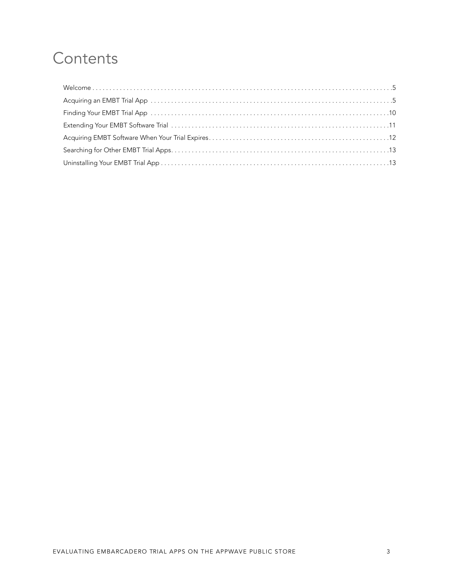## **Contents**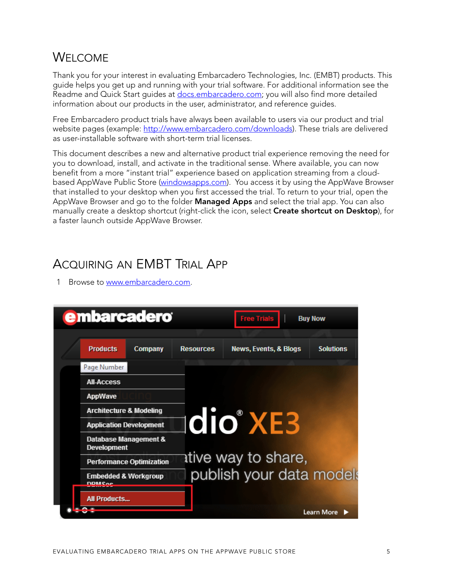#### <span id="page-4-0"></span>WELCOME

Thank you for your interest in evaluating Embarcadero Technologies, Inc. (EMBT) products. This guide helps you get up and running with your trial software. For additional information see the Readme and Quick Start quides at [docs.embarcadero.com](http://docs.embarcadero.com); you will also find more detailed information about our products in the user, administrator, and reference guides.

Free Embarcadero product trials have always been available to users via our product and trial website pages (example: [http://www.embarcadero.com/downloads\)](http://www.embarcadero.com/downloads). These trials are delivered as user-installable software with short-term trial licenses.

This document describes a new and alternative product trial experience removing the need for you to download, install, and activate in the traditional sense. Where available, you can now benefit from a more "instant trial" experience based on application streaming from a cloud-based AppWave Public Store [\(windowsapps.com](http://windowsapps.com)). You access it by using the AppWave Browser that installed to your desktop when you first accessed the trial. To return to your trial, open the AppWave Browser and go to the folder **Managed Apps** and select the trial app. You can also manually create a desktop shortcut (right-click the icon, select **Create shortcut on Desktop**), for a faster launch outside AppWave Browser.

#### <span id="page-4-1"></span>ACQUIRING AN EMBT TRIAL APP

1 Browse to [www.embarcadero.com.](http://www.embarcadero.com)

| <b>e</b> mbarcadero                              |                                 |                  | <b>Free Trials</b>               | <b>Buy Now</b>    |
|--------------------------------------------------|---------------------------------|------------------|----------------------------------|-------------------|
|                                                  |                                 |                  |                                  |                   |
| <b>Products</b>                                  | <b>Company</b>                  | <b>Resources</b> | <b>News, Events, &amp; Blogs</b> | <b>Solutions</b>  |
| Page Number                                      |                                 |                  |                                  |                   |
| <b>All-Access</b>                                |                                 |                  |                                  |                   |
| AppWave                                          |                                 |                  |                                  |                   |
| <b>Architecture &amp; Modeling</b>               |                                 |                  |                                  |                   |
| <b>Application Development</b>                   |                                 |                  | <b>Idio XE3</b>                  |                   |
| <b>Development</b>                               | Database Management &           |                  |                                  |                   |
|                                                  | <b>Performance Optimization</b> |                  | ative way to share,              |                   |
| <b>Embedded &amp; Workgroup</b><br><b>DDMCoc</b> |                                 |                  | publish your data models         |                   |
| <b>All Products</b>                              |                                 |                  |                                  |                   |
|                                                  |                                 |                  |                                  | <b>Learn More</b> |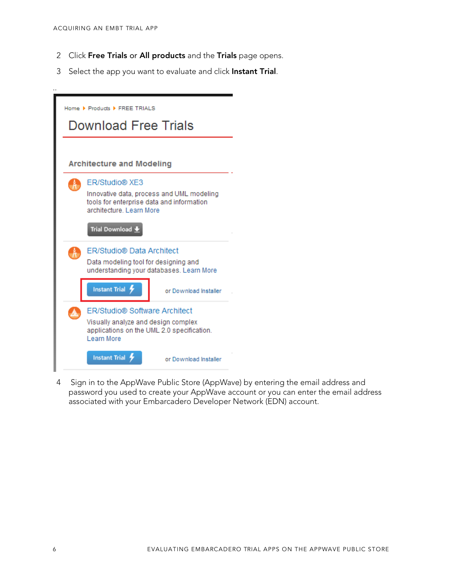..

- 2 Click **Free Trials** or **All products** and the **Trials** page opens.
- 3 Select the app you want to evaluate and click **Instant Trial**.

| Home ▶ Products ▶ FREE TRIALS<br><b>Download Free Trials</b>                                                       |                                                                   |
|--------------------------------------------------------------------------------------------------------------------|-------------------------------------------------------------------|
| <b>Architecture and Modeling</b>                                                                                   |                                                                   |
| <b>ER/Studio® XE3</b><br>tools for enterprise data and information<br>architecture, Learn More<br>Trial Download + | Innovative data, process and UML modeling                         |
| ER/Studio <sup>®</sup> Data Architect<br>Data modeling tool for designing and<br><b>Instant Trial</b>              | understanding your databases. Learn More<br>or Download Installer |
| ER/Studio <sup>®</sup> Software Architect<br>Visually analyze and design complex<br>Learn More                     | applications on the UML 2.0 specification.                        |
| <b>Instant Trial</b>                                                                                               | or Download Installer                                             |

4 Sign in to the AppWave Public Store (AppWave) by entering the email address and password you used to create your AppWave account or you can enter the email address associated with your Embarcadero Developer Network (EDN) account.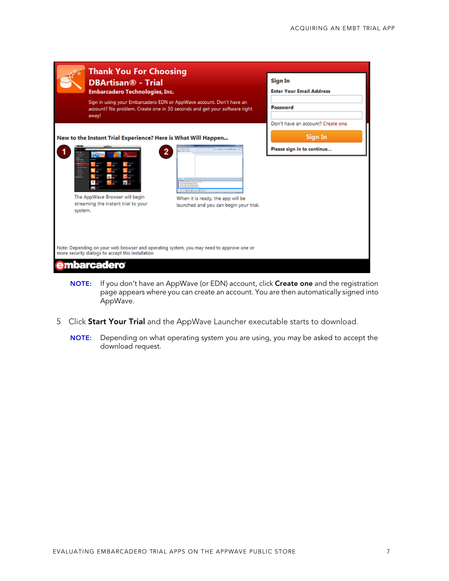|              | Thank You For Choosing<br><b>DBArtisan<sup>®</sup></b> - Trial<br><b>Embarcadero Technologies, Inc.</b><br>Sign in using your Embarcadero EDN or AppWave account. Don't have an<br>account? No problem. Create one in 30 seconds and get your software right<br>away!      | Sign In<br><b>Enter Your Email Address</b><br>Password                      |
|--------------|----------------------------------------------------------------------------------------------------------------------------------------------------------------------------------------------------------------------------------------------------------------------------|-----------------------------------------------------------------------------|
| E<br>system. | New to the Instant Trial Experience? Here is What Will Happen<br>$\mathbf{z}$<br>or \$100 Km<br><b>Lincham Ema</b><br>The AppWave Browser will begin<br>When it is ready, the app will be<br>streaming the instant trial to your<br>launched and you can begin your trial. | Don't have an account? Create one.<br>Sign In<br>Please sign in to continue |
|              | Note: Depending on your web browser and operating system, you may need to approve one or<br>more security dialogs to accept this installation<br>nbarcadero                                                                                                                |                                                                             |

- **NOTE:** If you don't have an AppWave (or EDN) account, click **Create one** and the registration page appears where you can create an account. You are then automatically signed into AppWave.
- 5 Click **Start Your Trial** and the AppWave Launcher executable starts to download.
	- **NOTE:** Depending on what operating system you are using, you may be asked to accept the download request.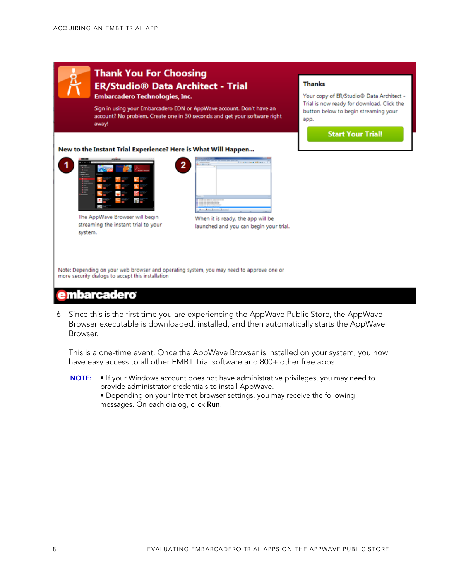

#### **embarcadero**

6 Since this is the first time you are experiencing the AppWave Public Store, the AppWave Browser executable is downloaded, installed, and then automatically starts the AppWave Browser.

This is a one-time event. Once the AppWave Browser is installed on your system, you now have easy access to all other EMBT Trial software and 800+ other free apps.

**NOTE:** • If your Windows account does not have administrative privileges, you may need to provide administrator credentials to install AppWave. • Depending on your Internet browser settings, you may receive the following messages. On each dialog, click **Run**.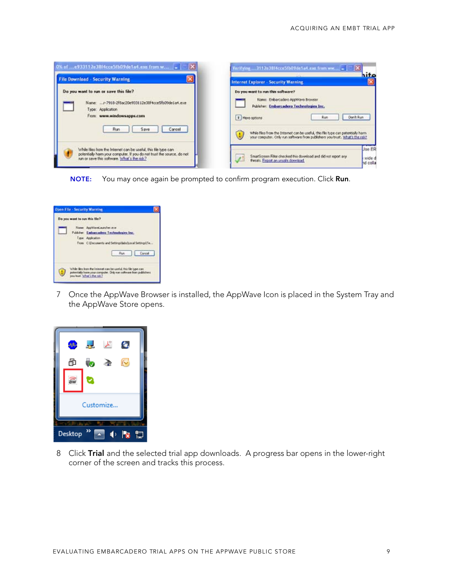| 0% of e933112e38f4cce5fb09de1a4.exe from w<br>ь                                                                                                                                          | Verifying  3112e38f4cce5fb09de1a4.exe from www = [T] X<br>hito                                                                                                                                                                                                                                                               |
|------------------------------------------------------------------------------------------------------------------------------------------------------------------------------------------|------------------------------------------------------------------------------------------------------------------------------------------------------------------------------------------------------------------------------------------------------------------------------------------------------------------------------|
| <b>File Download - Security Warning</b>                                                                                                                                                  | <b>Internet Explorer - Security Warning</b>                                                                                                                                                                                                                                                                                  |
| Do you want to run or save this file?<br>Name: r-7918-2f8ac20e933112e38f4cce5fb09de1a4.exe<br>Type: Application<br>From: www.windowsapps.com<br>Cancel<br>Run<br>Save                    | Do you want to run this software?<br>Name: Embarcadoro AppWave Browser<br>Publisher: Embarcadero Technologies Inc.<br>Don't Run<br># More cottens<br>Run<br>While files from the Internet can be useful, this file type can potentially harm<br>your computer. Only run software from publishers you trust. What's the risk? |
| While lifes from the Internet can be useful, this file type can<br>potentially harm your computer. If you do not trust the source, do not<br>run or save this software. What's the risk? | Jae ER<br>SmartScreen Filter checked this download and did not report any<br>wide d<br>throats. Report an unsafe download<br>nd colla                                                                                                                                                                                        |

**NOTE:** You may once again be prompted to confirm program execution. Click **Run**.



7 Once the AppWave Browser is installed, the AppWave Icon is placed in the System Tray and the AppWave Store opens.



8 Click **Trial** and the selected trial app downloads. A progress bar opens in the lower-right corner of the screen and tracks this process.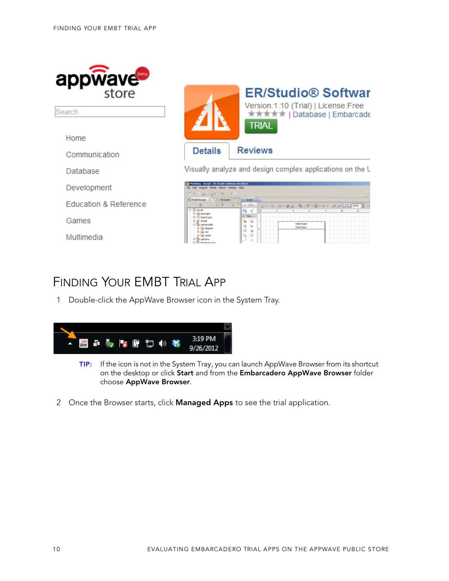

Search

Home

Communication

**Database** 

Development

**Education & Reference** 

Games

Multimedia

|                | <b>ER/Studio® Softwar</b><br>Version:1.10 (Trial)   License:Free<br><b>★★★★★   Database   Embarcade</b><br>trial |
|----------------|------------------------------------------------------------------------------------------------------------------|
| <b>Details</b> | <b>Reviews</b>                                                                                                   |

Visually analyze and design complex applications on the U

| $  \mathbf{u}   \leq   \mathbf{u}   \leq   \mathbf{u}   \leq   \mathbf{u}   \leq   \mathbf{u}  $                  |                                                                                                                                                                                                                                                                                                                                                                                                                                                                                                                                                                                                                                                   |  |
|-------------------------------------------------------------------------------------------------------------------|---------------------------------------------------------------------------------------------------------------------------------------------------------------------------------------------------------------------------------------------------------------------------------------------------------------------------------------------------------------------------------------------------------------------------------------------------------------------------------------------------------------------------------------------------------------------------------------------------------------------------------------------------|--|
| C Hodel Nevigat 22 \ C Norigator   " [7   14 Danal 11                                                             |                                                                                                                                                                                                                                                                                                                                                                                                                                                                                                                                                                                                                                                   |  |
| <b>H-R Danak</b><br><b>BASINES</b><br><b>ZI Detailvow)</b><br>Denud<br>metamodelo<br>ili dopun<br><b>AB UNIOS</b> | $\mathbb{R}=\Phi\left[\left\{1\boxplus \mathbb{R} \oplus \mathbb{Q}^{\top}\right\} \oplus \Phi\Phi_{1}\right] \oplus \left\{\left\{2\boxplus \mathbb{Q} \oplus \mathbb{Q}^{\top}\right\} \oplus \left\{\mathbb{Z}^{\top}\boxtimes \mathbb{Z}^{\top}\mathscr{H}\right\} \right] \oplus \mathbb{Z}\left[\mathbb{Z}^{\top}\boxtimes \mathbb{Z}^{\top}\right] \oplus \left\{\left\{2\boxplus \mathbb{Z}^{\top}\boxtimes \mathbb{Z}^{\top}\right\} \oplus \left\{\left\{\mathbb{Z}^{\top}\box$<br>84 QF<br><b>Text</b><br>Q. Cless<br>$\sim$<br>÷<br>$\sim$<br>û<br>$\frac{1}{2}$<br>DataTveet<br><sup>1</sup> in<br>$\overline{a}$<br>H<br><b>Q</b> = |  |

## <span id="page-9-0"></span>FINDING YOUR EMBT TRIAL APP

1 Double-click the AppWave Browser icon in the System Tray.



- **TIP:** If the icon is not in the System Tray, you can launch AppWave Browser from its shortcut on the desktop or click **Start** and from the **Embarcadero AppWave Browser** folder choose **AppWave Browser**.
- 2 Once the Browser starts, click **Managed Apps** to see the trial application.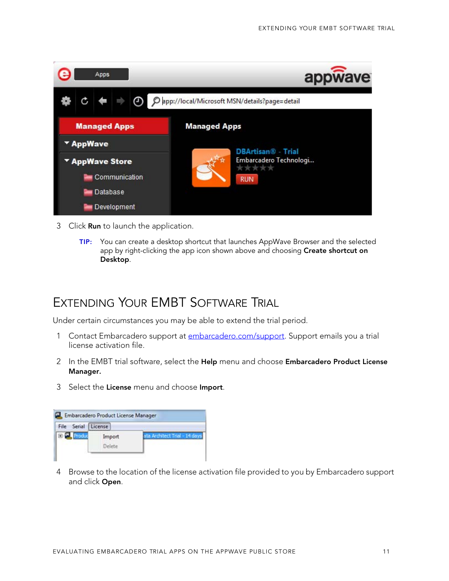

- 3 Click **Run** to launch the application.
	- **TIP:** You can create a desktop shortcut that launches AppWave Browser and the selected app by right-clicking the app icon shown above and choosing **Create shortcut on Desktop**.

#### <span id="page-10-0"></span>EXTENDING YOUR EMBT SOFTWARE TRIAL

Under certain circumstances you may be able to extend the trial period.

- 1 Contact Embarcadero support at [embarcadero.com/support.](http://www.embarcadero.com/support) Support emails you a trial license activation file.
- 2 In the EMBT trial software, select the **Help** menu and choose **Embarcadero Product License Manager.**
- 3 Select the **License** menu and choose **Import**.

| Serial<br>File | License          |                               |
|----------------|------------------|-------------------------------|
|                | Import<br>Delete | ita Architect Trial - 14 days |

4 Browse to the location of the license activation file provided to you by Embarcadero support and click **Open**.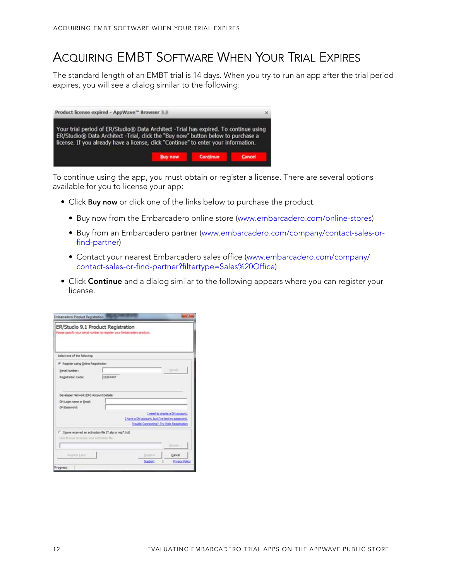### <span id="page-11-0"></span>ACQUIRING EMBT SOFTWARE WHEN YOUR TRIAL EXPIRES

The standard length of an EMBT trial is 14 days. When you try to run an app after the trial period expires, you will see a dialog similar to the following:



To continue using the app, you must obtain or register a license. There are several options available for you to license your app:

- Click **Buy now** or click one of the links below to purchase the product.
	- Buy now from the Embarcadero online store [\(www.embarcadero.com/online-stores](https://store.embarcadero.com/542/purl-buynow))
	- Buy from an Embarcadero partner [\(www.embarcadero.com/company/contact-sales-or](http://www.embarcadero.com/company/contact-sales-or-find-partner)[find-partner](http://www.embarcadero.com/company/contact-sales-or-find-partner))
	- Contact your nearest Embarcadero sales office [\(www.embarcadero.com/company/](http://www.embarcadero.com/company/contact-sales-or-find-partner?filtertype=Sales%20Office) [contact-sales-or-find-partner?filtertype=Sales%20Office\)](http://www.embarcadero.com/company/contact-sales-or-find-partner?filtertype=Sales%20Office)
- Click **Continue** and a dialog similar to the following appears where you can register your license.

| ER/Studio 9.1 Product Registration<br>Please specify your serial number to register your Embarcadero product.            |          |                                                |                                                                            |
|--------------------------------------------------------------------------------------------------------------------------|----------|------------------------------------------------|----------------------------------------------------------------------------|
| Select one of the following:                                                                                             |          |                                                |                                                                            |
| (F Register using Online Registration)                                                                                   |          |                                                |                                                                            |
| Serial Number:                                                                                                           |          |                                                | . Titals                                                                   |
| Regstration Code:                                                                                                        | 12264447 |                                                |                                                                            |
| DN Login name or Email:<br><b>DN Password:</b>                                                                           |          | Ehave a DN account, but I've lost my password. | I need to create a DN account.<br>Trauble Connecting? Try Web Registration |
| <sup>1</sup> I have received an activation file (".slp or reg".b/I)<br>Club, filtransie by Baukier untur activation für. |          |                                                | DOWN                                                                       |
|                                                                                                                          |          |                                                |                                                                            |
|                                                                                                                          |          |                                                |                                                                            |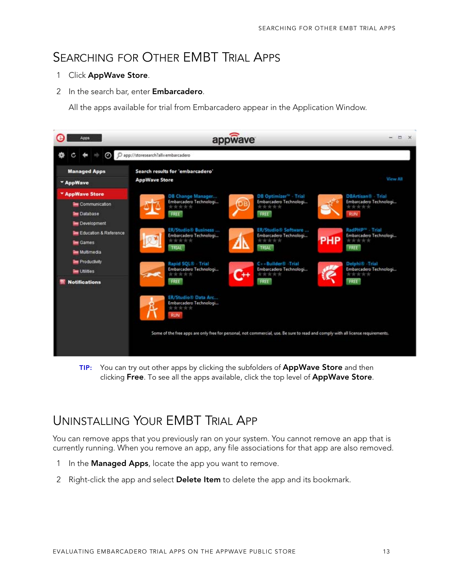#### <span id="page-12-0"></span>SEARCHING FOR OTHER EMBT TRIAL APPS

#### 1 Click **AppWave Store**.

2 In the search bar, enter **Embarcadero**.

All the apps available for trial from Embarcadero appear in the Application Window.



**TIP:** You can try out other apps by clicking the subfolders of **AppWave Store** and then clicking **Free**. To see all the apps available, click the top level of **AppWave Store**.

### <span id="page-12-1"></span>UNINSTALLING YOUR EMBT TRIAL APP

You can remove apps that you previously ran on your system. You cannot remove an app that is currently running. When you remove an app, any file associations for that app are also removed.

- 1 In the **Managed Apps**, locate the app you want to remove.
- 2 Right-click the app and select **Delete Item** to delete the app and its bookmark.